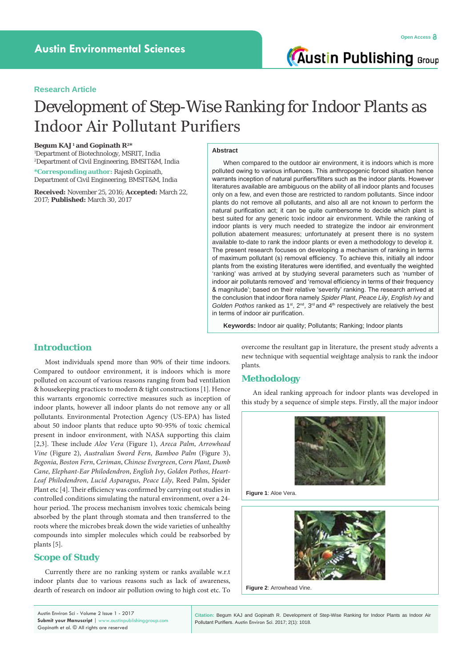#### **Research Article**

# Development of Step-Wise Ranking for Indoor Plants as Indoor Air Pollutant Purifiers

#### **Begum KAJ1 and Gopinath R2\***

1 Department of Biotechnology, MSRIT, India 2 Department of Civil Engineering, BMSIT&M, India

**\*Corresponding author:** Rajesh Gopinath, Department of Civil Engineering, BMSIT&M, India

**Received:** November 25, 2016; **Accepted:** March 22, 2017; **Published:** March 30, 2017

#### **Abstract**

When compared to the outdoor air environment, it is indoors which is more polluted owing to various influences. This anthropogenic forced situation hence warrants inception of natural purifiers/filters such as the indoor plants. However literatures available are ambiguous on the ability of all indoor plants and focuses only on a few, and even those are restricted to random pollutants. Since indoor plants do not remove all pollutants, and also all are not known to perform the natural purification act; it can be quite cumbersome to decide which plant is best suited for any generic toxic indoor air environment. While the ranking of indoor plants is very much needed to strategize the indoor air environment pollution abatement measures; unfortunately at present there is no system available to-date to rank the indoor plants or even a methodology to develop it. The present research focuses on developing a mechanism of ranking in terms of maximum pollutant (s) removal efficiency. To achieve this, initially all indoor plants from the existing literatures were identified, and eventually the weighted 'ranking' was arrived at by studying several parameters such as 'number of indoor air pollutants removed' and 'removal efficiency in terms of their frequency & magnitude'; based on their relative 'severity' ranking. The research arrived at the conclusion that indoor flora namely *Spider Plant*, *Peace Lily*, *English Ivy* and Golden Pothos ranked as 1<sup>st</sup>, 2<sup>nd</sup>, 3<sup>rd</sup> and 4<sup>th</sup> respectively are relatively the best in terms of indoor air purification.

**Keywords:** Indoor air quality; Pollutants; Ranking; Indoor plants

### **Introduction**

Most individuals spend more than 90% of their time indoors. Compared to outdoor environment, it is indoors which is more polluted on account of various reasons ranging from bad ventilation & housekeeping practices to modern & tight constructions [1]. Hence this warrants ergonomic corrective measures such as inception of indoor plants, however all indoor plants do not remove any or all pollutants. Environmental Protection Agency (US-EPA) has listed about 50 indoor plants that reduce upto 90-95% of toxic chemical present in indoor environment, with NASA supporting this claim [2,3]. These include *Aloe Vera* (Figure 1), *Areca Palm*, *Arrowhead Vine* (Figure 2), *Australian Sword Fern*, *Bamboo Palm* (Figure 3), *Begonia*, *Boston Fern*, *Ceriman*, *Chinese Evergreen*, *Corn Plant*, *Dumb Cane*, *Elephant-Ear Philodendron*, *English Ivy*, *Golden Pothos*, *Heart-Leaf Philodendron*, *Lucid Asparagus*, *Peace Lily*, Reed Palm, Spider Plant etc [4]. Their efficiency was confirmed by carrying out studies in controlled conditions simulating the natural environment, over a 24 hour period. The process mechanism involves toxic chemicals being absorbed by the plant through stomata and then transferred to the roots where the microbes break down the wide varieties of unhealthy compounds into simpler molecules which could be reabsorbed by plants [5].

# **Scope of Study**

Currently there are no ranking system or ranks available w.r.t indoor plants due to various reasons such as lack of awareness, dearth of research on indoor air pollution owing to high cost etc. To overcome the resultant gap in literature, the present study advents a new technique with sequential weightage analysis to rank the indoor plants.

# **Methodology**

An ideal ranking approach for indoor plants was developed in this study by a sequence of simple steps. Firstly, all the major indoor



**Figure 1**: Aloe Vera.





Austin Environ Sci - Volume 2 Issue 1 - 2017 **Submit your Manuscript** | www.austinpublishinggroup.com Gopinath et al. © All rights are reserved

**Citation:** Begum KAJ and Gopinath R. Development of Step-Wise Ranking for Indoor Plants as Indoor Air Pollutant Purifiers. Austin Environ Sci. 2017; 2(1): 1018.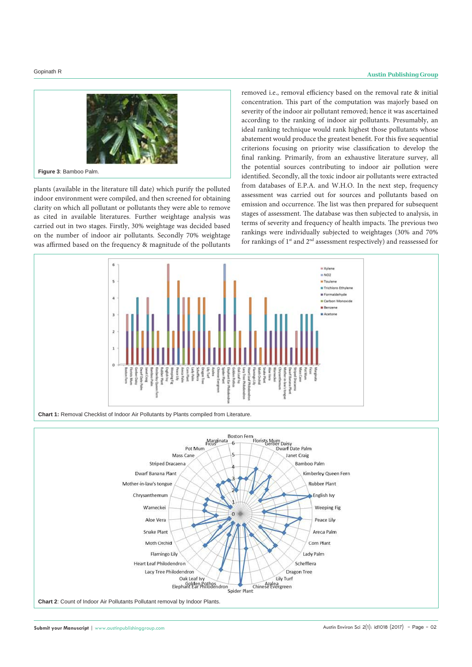

plants (available in the literature till date) which purify the polluted indoor environment were compiled, and then screened for obtaining clarity on which all pollutant or pollutants they were able to remove as cited in available literatures. Further weightage analysis was carried out in two stages. Firstly, 30% weightage was decided based on the number of indoor air pollutants. Secondly 70% weightage was affirmed based on the frequency & magnitude of the pollutants

removed i.e., removal efficiency based on the removal rate & initial concentration. This part of the computation was majorly based on severity of the indoor air pollutant removed; hence it was ascertained according to the ranking of indoor air pollutants. Presumably, an ideal ranking technique would rank highest those pollutants whose abatement would produce the greatest benefit. For this five sequential criterions focusing on priority wise classification to develop the final ranking. Primarily, from an exhaustive literature survey, all the potential sources contributing to indoor air pollution were identified. Secondly, all the toxic indoor air pollutants were extracted from databases of E.P.A. and W.H.O. In the next step, frequency assessment was carried out for sources and pollutants based on emission and occurrence. The list was then prepared for subsequent stages of assessment. The database was then subjected to analysis, in terms of severity and frequency of health impacts. The previous two rankings were individually subjected to weightages (30% and 70% for rankings of 1st and 2nd assessment respectively) and reassessed for



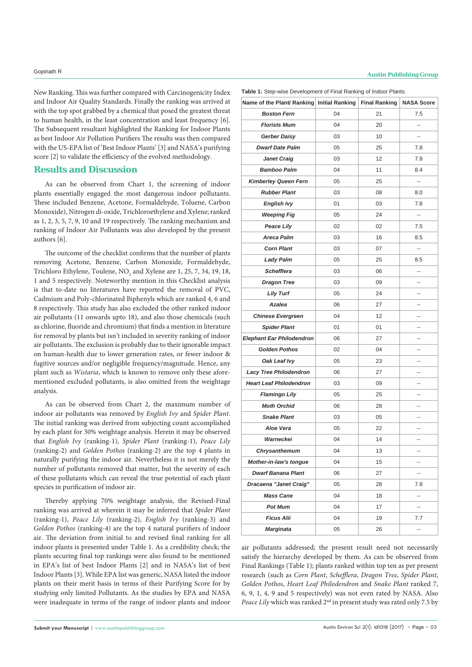New Ranking. This was further compared with Carcinogenicity Index and Indoor Air Quality Standards. Finally the ranking was arrived at with the top spot grabbed by a chemical that posed the greatest threat to human health, in the least concentration and least frequency [6]. The Subsequent resultant highlighted the Ranking for Indoor Plants as best Indoor Air Pollution Purifiers The results was then compared with the US-EPA list of 'Best Indoor Plants' [3] and NASA's purifying score [2] to validate the efficiency of the evolved methodology.

## **Results and Discussion**

As can be observed from Chart 1, the screening of indoor plants essentially engaged the most dangerous indoor pollutants. These included Benzene, Acetone, Formaldehyde, Toluene, Carbon Monoxide), Nitrogen di-oxide, Trichloroethylene and Xylene; ranked as 1, 2, 3, 5, 7, 9, 10 and 19 respectively. The ranking mechanism and ranking of Indoor Air Pollutants was also developed by the present authors [6].

The outcome of the checklist confirms that the number of plants removing Acetone, Benzene, Carbon Monoxide, Formaldehyde, Trichloro Ethylene, Toulene,  $NO<sub>2</sub>$  and Xylene are 1, 25, 7, 34, 19, 18, 1 and 5 respectively. Noteworthy mention in this Checklist analysis is that to-date no literatures have reported the removal of PVC, Cadmium and Poly-chlorinated Biphenyls which are ranked 4, 6 and 8 respectively. This study has also excluded the other ranked indoor air pollutants (11 onwards upto 18), and also those chemicals (such as chlorine, fluoride and chromium) that finds a mention in literature for removal by plants but isn't included in severity ranking of indoor air pollutants. The exclusion is probably due to their ignorable impact on human-health due to lower generation rates, or fewer indoor & fugitive sources and/or negligible frequency/magnitude. Hence, any plant such as *Wistaria*, which is known to remove only these aforementioned excluded pollutants, is also omitted from the weightage analysis.

As can be observed from Chart 2, the maximum number of indoor air pollutants was removed by *English Ivy* and *Spider Plant*. The initial ranking was derived from subjecting count accomplished by each plant for 30% weightage analysis. Herein it may be observed that *English Ivy* (ranking-1), *Spider Plant* (ranking-1), *Peace Lily* (ranking-2) and *Golden Pothos* (ranking-2) are the top 4 plants in naturally purifying the indoor air. Nevertheless it is not merely the number of pollutants removed that matter, but the severity of each of these pollutants which can reveal the true potential of each plant species in purification of indoor air.

Thereby applying 70% weightage analysis, the Revised-Final ranking was arrived at wherein it may be inferred that *Spider Plant* (ranking-1), *Peace Lily* (ranking-2), *English Ivy* (ranking-3) and *Golden Pothos* (ranking-4) are the top 4 natural purifiers of indoor air. The deviation from initial to and revised final ranking for all indoor plants is presented under Table 1. As a credibility check; the plants securing final top rankings were also found to be mentioned in EPA's list of best Indoor Plants [2] and in NASA's list of best Indoor Plants [3]. While EPA list was generic, NASA listed the indoor plants on their merit basis in terms of their Purifying Score for by studying only limited Pollutants. As the studies by EPA and NASA were inadequate in terms of the range of indoor plants and indoor **Table 1:** Step-wise Development of Final Ranking of Indoor Plants.

| <b>Table 1.</b> Oldp wise Development of Final Rammig of mader Fiams. |    |    |                          |
|-----------------------------------------------------------------------|----|----|--------------------------|
| Name of the Plant/ Ranking Initial Ranking Final Ranking              |    |    | <b>NASA Score</b>        |
| <b>Boston Fern</b>                                                    | 04 | 21 | 7.5                      |
| <b>Florists Mum</b>                                                   | 04 | 20 | Ш,                       |
| Gerber Daisy                                                          | 03 | 10 | ٠.                       |
| <b>Dwarf Date Palm</b>                                                | 05 | 25 | 7.8                      |
| <b>Janet Craig</b>                                                    | 03 | 12 | 7.8                      |
| <b>Bamboo Palm</b>                                                    | 04 | 11 | 8.4                      |
| <b>Kimberley Queen Fern</b>                                           | 05 | 25 | $\overline{\phantom{a}}$ |
| <b>Rubber Plant</b>                                                   | 03 | 08 | 8.0                      |
| <b>English Ivy</b>                                                    | 01 | 03 | 7.8                      |
| <b>Weeping Fig</b>                                                    | 05 | 24 | Ξ.                       |
| <b>Peace Lily</b>                                                     | 02 | 02 | 7.5                      |
| <b>Areca Palm</b>                                                     | 03 | 16 | 8.5                      |
| <b>Corn Plant</b>                                                     | 03 | 07 | --                       |
| <b>Lady Palm</b>                                                      | 05 | 25 | 8.5                      |
| <b>Schefflera</b>                                                     | 03 | 06 | --                       |
| <b>Dragon Tree</b>                                                    | 03 | 09 |                          |
| <b>Lily Turf</b>                                                      | 05 | 24 | --                       |
| <b>Azalea</b>                                                         | 06 | 27 | --                       |
| <b>Chinese Evergreen</b>                                              | 04 | 12 | --                       |
| <b>Spider Plant</b>                                                   | 01 | 01 | --                       |
| <b>Elephant Ear Philodendron</b>                                      | 06 | 27 | ٠.                       |
| <b>Golden Pothos</b>                                                  | 02 | 04 | --                       |
| Oak Leaf Ivy                                                          | 05 | 23 | --                       |
| <b>Lacy Tree Philodendron</b>                                         | 06 | 27 | --                       |
| <b>Heart Leaf Philodendron</b>                                        | 03 | 09 | $\overline{a}$           |
| <b>Flamingo Lily</b>                                                  | 05 | 25 | --                       |
| <b>Moth Orchid</b>                                                    | 06 | 28 | --                       |
| <b>Snake Plant</b>                                                    | 03 | 05 | --                       |
| Aloe Vera                                                             | 05 | 22 | --                       |
| Warneckei                                                             | 04 | 14 | --                       |
| Chrysanthemum                                                         | 04 | 13 | --                       |
| Mother-in-law's tongue                                                | 04 | 15 | ٠.                       |
| <b>Dwarf Banana Plant</b>                                             | 06 | 27 | --                       |
| Dracaena "Janet Craig"                                                | 05 | 28 | 7.8                      |
| <b>Mass Cane</b>                                                      | 04 | 18 | --                       |
| <b>Pot Mum</b>                                                        | 04 | 17 | --                       |
| Ficus Alii                                                            | 04 | 19 | 7.7                      |
| Marginata                                                             | 05 | 26 | -−                       |

air pollutants addressed; the present result need not necessarily satisfy the hierarchy developed by them. As can be observed from Final Rankings (Table 1); plants ranked within top ten as per present research (such as *Corn Plant*, *Schefflera*, *Dragon Tree*, *Spider Plant*, *Golden Pothos*, *Heart Leaf Philodendron* and *Snake Plant* ranked 7, 6, 9, 1, 4, 9 and 5 respectively) was not even rated by NASA. Also *Peace Lily* which was ranked 2nd in present study was rated only 7.5 by